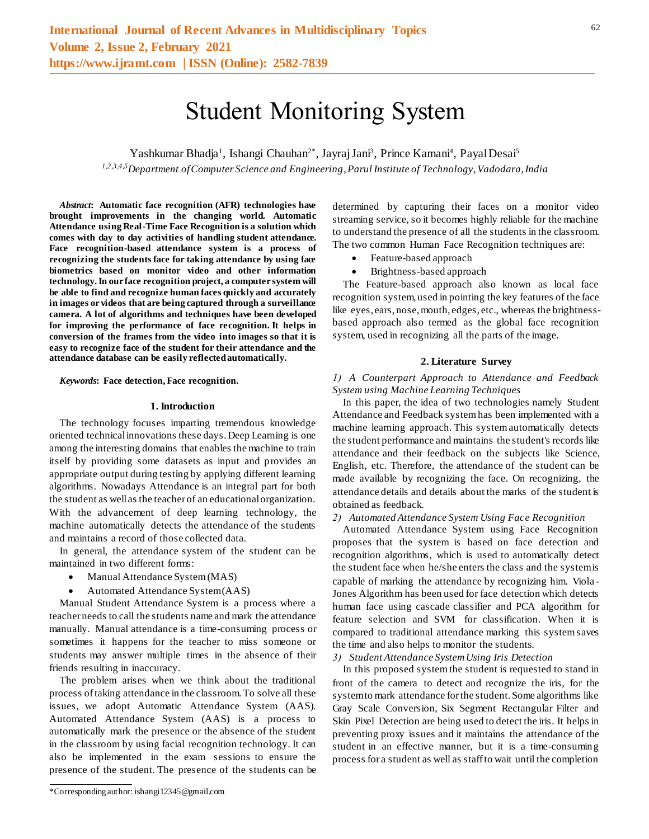# Student Monitoring System

Yashkumar Bhadja<sup>1</sup>, Ishangi Chauhan<sup>2\*</sup>, Jayraj Jani<sup>3</sup>, Prince Kamani<sup>4</sup>, Payal Desai<sup>5</sup>

*1,2,3,4,5Department of Computer Science and Engineering, Parul Institute of Technology, Vadodara, India*

*Abstract***: Automatic face recognition (AFR) technologies have brought improvements in the changing world. Automatic Attendance using Real-Time Face Recognition is a solution which comes with day to day activities of handling student attendance. Face recognition-based attendance system is a process of recognizing the students face for taking attendance by using face biometrics based on monitor video and other information technology. In our face recognition project, a computer system will be able to find and recognize human faces quickly and accurately in images or videos that are being captured through a surveillance camera. A lot of algorithms and techniques have been developed for improving the performance of face recognition. It helps in conversion of the frames from the video into images so that it is easy to recognize face of the student for their attendance and the attendance database can be easily reflected automatically.**

*Keywords***: Face detection, Face recognition.**

#### **1. Introduction**

The technology focuses imparting tremendous knowledge oriented technical innovations these days. Deep Learning is one among the interesting domains that enables the machine to train itself by providing some datasets as input and provides an appropriate output during testing by applying different learning algorithms. Nowadays Attendance is an integral part for both the student as well as the teacher of an educational organization. With the advancement of deep learning technology, the machine automatically detects the attendance of the students and maintains a record of those collected data.

In general, the attendance system of the student can be maintained in two different forms:

- Manual Attendance System (MAS)
- Automated Attendance System (AAS)

Manual Student Attendance System is a process where a teacher needs to call the students name and mark the attendance manually. Manual attendance is a time-consuming process or sometimes it happens for the teacher to miss someone or students may answer multiple times in the absence of their friends resulting in inaccuracy.

The problem arises when we think about the traditional process of taking attendance in the classroom. To solve all these issues, we adopt Automatic Attendance System (AAS). Automated Attendance System (AAS) is a process to automatically mark the presence or the absence of the student in the classroom by using facial recognition technology. It can also be implemented in the exam sessions to ensure the presence of the student. The presence of the students can be determined by capturing their faces on a monitor video streaming service, so it becomes highly reliable for the machine to understand the presence of all the students in the classroom. The two common Human Face Recognition techniques are:

- Feature-based approach
- Brightness-based approach

The Feature-based approach also known as local face recognition system, used in pointing the key features of the face like eyes, ears, nose, mouth, edges, etc., whereas the brightnessbased approach also termed as the global face recognition system, used in recognizing all the parts of the image.

### **2. Literature Survey**

*1) A Counterpart Approach to Attendance and Feedback System using Machine Learning Techniques*

In this paper, the idea of two technologies namely Student Attendance and Feedback system has been implemented with a machine learning approach. This system automatically detects the student performance and maintains the student's records like attendance and their feedback on the subjects like Science, English, etc. Therefore, the attendance of the student can be made available by recognizing the face. On recognizing, the attendance details and details about the marks of the student is obtained as feedback.

#### *2) Automated Attendance System Using Face Recognition*

Automated Attendance System using Face Recognition proposes that the system is based on face detection and recognition algorithms, which is used to automatically detect the student face when he/she enters the class and the system is capable of marking the attendance by recognizing him. Viola - Jones Algorithm has been used for face detection which detects human face using cascade classifier and PCA algorithm for feature selection and SVM for classification. When it is compared to traditional attendance marking this system saves the time and also helps to monitor the students.

#### *3) Student Attendance System Using Iris Detection*

In this proposed system the student is requested to stand in front of the camera to detect and recognize the iris, for the system to mark attendance for the student. Some algorithms like Gray Scale Conversion, Six Segment Rectangular Filter and Skin Pixel Detection are being used to detect the iris. It helps in preventing proxy issues and it maintains the attendance of the student in an effective manner, but it is a time-consuming process for a student as well as staff to wait until the completion

<sup>\*</sup>Corresponding author: ishangi12345@gmail.com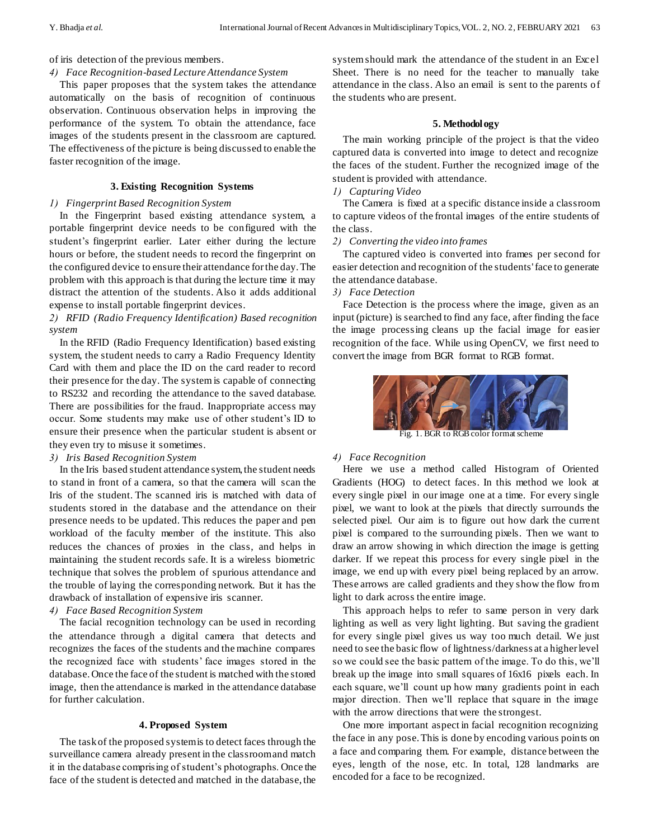of iris detection of the previous members.

## *4) Face Recognition-based Lecture Attendance System*

This paper proposes that the system takes the attendance automatically on the basis of recognition of continuous observation. Continuous observation helps in improving the performance of the system. To obtain the attendance, face images of the students present in the classroom are captured. The effectiveness of the picture is being discussed to enable the faster recognition of the image.

## **3. Existing Recognition Systems**

## *1) Fingerprint Based Recognition System*

In the Fingerprint based existing attendance system, a portable fingerprint device needs to be configured with the student's fingerprint earlier. Later either during the lecture hours or before, the student needs to record the fingerprint on the configured device to ensure their attendance for the day. The problem with this approach is that during the lecture time it may distract the attention of the students. Also it adds additional expense to install portable fingerprint devices.

# *2) RFID (Radio Frequency Identification) Based recognition system*

In the RFID (Radio Frequency Identification) based existing system, the student needs to carry a Radio Frequency Identity Card with them and place the ID on the card reader to record their presence for the day. The system is capable of connecting to RS232 and recording the attendance to the saved database. There are possibilities for the fraud. Inappropriate access may occur. Some students may make use of other student's ID to ensure their presence when the particular student is absent or they even try to misuse it sometimes.

# *3) Iris Based Recognition System*

In the Iris based student attendance system, the student needs to stand in front of a camera, so that the camera will scan the Iris of the student. The scanned iris is matched with data of students stored in the database and the attendance on their presence needs to be updated. This reduces the paper and pen workload of the faculty member of the institute. This also reduces the chances of proxies in the class, and helps in maintaining the student records safe. It is a wireless biometric technique that solves the problem of spurious attendance and the trouble of laying the corresponding network. But it has the drawback of installation of expensive iris scanner.

# *4) Face Based Recognition System*

The facial recognition technology can be used in recording the attendance through a digital camera that detects and recognizes the faces of the students and the machine compares the recognized face with students' face images stored in the database. Once the face of the student is matched with the stored image, then the attendance is marked in the attendance database for further calculation.

## **4. Proposed System**

The task of the proposed system is to detect faces through the surveillance camera already present in the classroom and match it in the database comprising of student's photographs. Once the face of the student is detected and matched in the database, the

system should mark the attendance of the student in an Excel Sheet. There is no need for the teacher to manually take attendance in the class. Also an email is sent to the parents of the students who are present.

## **5. Methodology**

The main working principle of the project is that the video captured data is converted into image to detect and recognize the faces of the student. Further the recognized image of the student is provided with attendance.

# *1) Capturing Video*

The Camera is fixed at a specific distance inside a classroom to capture videos of the frontal images of the entire students of the class.

## *2) Converting the video into frames*

The captured video is converted into frames per second for easier detection and recognition of the students' face to generate the attendance database.

# *3) Face Detection*

Face Detection is the process where the image, given as an input (picture) is searched to find any face, after finding the face the image processing cleans up the facial image for easier recognition of the face. While using OpenCV, we first need to convert the image from BGR format to RGB format.



Fig. 1. BGR to RGB color format scheme

# *4) Face Recognition*

Here we use a method called Histogram of Oriented Gradients (HOG) to detect faces. In this method we look at every single pixel in our image one at a time. For every single pixel, we want to look at the pixels that directly surrounds the selected pixel. Our aim is to figure out how dark the current pixel is compared to the surrounding pixels. Then we want to draw an arrow showing in which direction the image is getting darker. If we repeat this process for every single pixel in the image, we end up with every pixel being replaced by an arrow. These arrows are called gradients and they show the flow from light to dark across the entire image.

This approach helps to refer to same person in very dark lighting as well as very light lighting. But saving the gradient for every single pixel gives us way too much detail. We just need to see the basic flow of lightness/darkness at a higher level so we could see the basic pattern of the image. To do this, we'll break up the image into small squares of 16x16 pixels each. In each square, we'll count up how many gradients point in each major direction. Then we'll replace that square in the image with the arrow directions that were the strongest.

One more important aspect in facial recognition recognizing the face in any pose. This is done by encoding various points on a face and comparing them. For example, distance between the eyes, length of the nose, etc. In total, 128 landmarks are encoded for a face to be recognized.